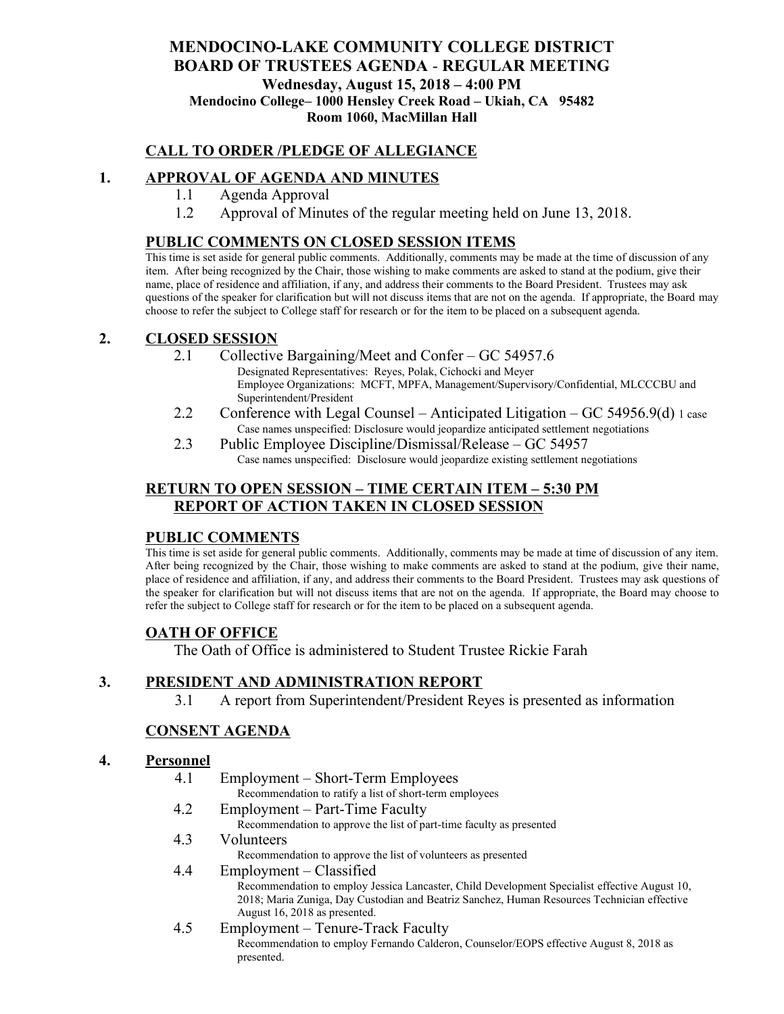## **MENDOCINO-LAKE COMMUNITY COLLEGE DISTRICT BOARD OF TRUSTEES AGENDA** - **REGULAR MEETING Wednesday, August 15, 2018 – 4:00 PM Mendocino College– 1000 Hensley Creek Road – Ukiah, CA 95482 Room 1060, MacMillan Hall**

## **CALL TO ORDER /PLEDGE OF ALLEGIANCE**

## **1. APPROVAL OF AGENDA AND MINUTES**

- 1.1 Agenda Approval
- 1.2 Approval of Minutes of the regular meeting held on June 13, 2018.

## **PUBLIC COMMENTS ON CLOSED SESSION ITEMS**

This time is set aside for general public comments. Additionally, comments may be made at the time of discussion of any item. After being recognized by the Chair, those wishing to make comments are asked to stand at the podium, give their name, place of residence and affiliation, if any, and address their comments to the Board President. Trustees may ask questions of the speaker for clarification but will not discuss items that are not on the agenda. If appropriate, the Board may choose to refer the subject to College staff for research or for the item to be placed on a subsequent agenda.

#### **2. CLOSED SESSION**

- 2.1 Collective Bargaining/Meet and Confer GC 54957.6 Designated Representatives: Reyes, Polak, Cichocki and Meyer Employee Organizations: MCFT, MPFA, Management/Supervisory/Confidential, MLCCCBU and Superintendent/President
- 2.2 Conference with Legal Counsel Anticipated Litigation GC 54956.9(d) 1 case Case names unspecified: Disclosure would jeopardize anticipated settlement negotiations
- 2.3 Public Employee Discipline/Dismissal/Release GC 54957 Case names unspecified: Disclosure would jeopardize existing settlement negotiations

## **RETURN TO OPEN SESSION – TIME CERTAIN ITEM – 5:30 PM REPORT OF ACTION TAKEN IN CLOSED SESSION**

### **PUBLIC COMMENTS**

This time is set aside for general public comments. Additionally, comments may be made at time of discussion of any item. After being recognized by the Chair, those wishing to make comments are asked to stand at the podium, give their name, place of residence and affiliation, if any, and address their comments to the Board President. Trustees may ask questions of the speaker for clarification but will not discuss items that are not on the agenda. If appropriate, the Board may choose to refer the subject to College staff for research or for the item to be placed on a subsequent agenda.

### **OATH OF OFFICE**

The Oath of Office is administered to Student Trustee Rickie Farah

### **3. PRESIDENT AND ADMINISTRATION REPORT**

3.1 A report from Superintendent/President Reyes is presented as information

### **CONSENT AGENDA**

#### **4. Personnel**

- 4.1 Employment Short-Term Employees Recommendation to ratify a list of short-term employees
- 4.2 Employment Part-Time Faculty
	- Recommendation to approve the list of part-time faculty as presented
- 4.3 Volunteers
	- Recommendation to approve the list of volunteers as presented

#### 4.4 Employment – Classified Recommendation to employ Jessica Lancaster, Child Development Specialist effective August 10, 2018; Maria Zuniga, Day Custodian and Beatriz Sanchez, Human Resources Technician effective August 16, 2018 as presented.

4.5 Employment – Tenure-Track Faculty Recommendation to employ Fernando Calderon, Counselor/EOPS effective August 8, 2018 as presented.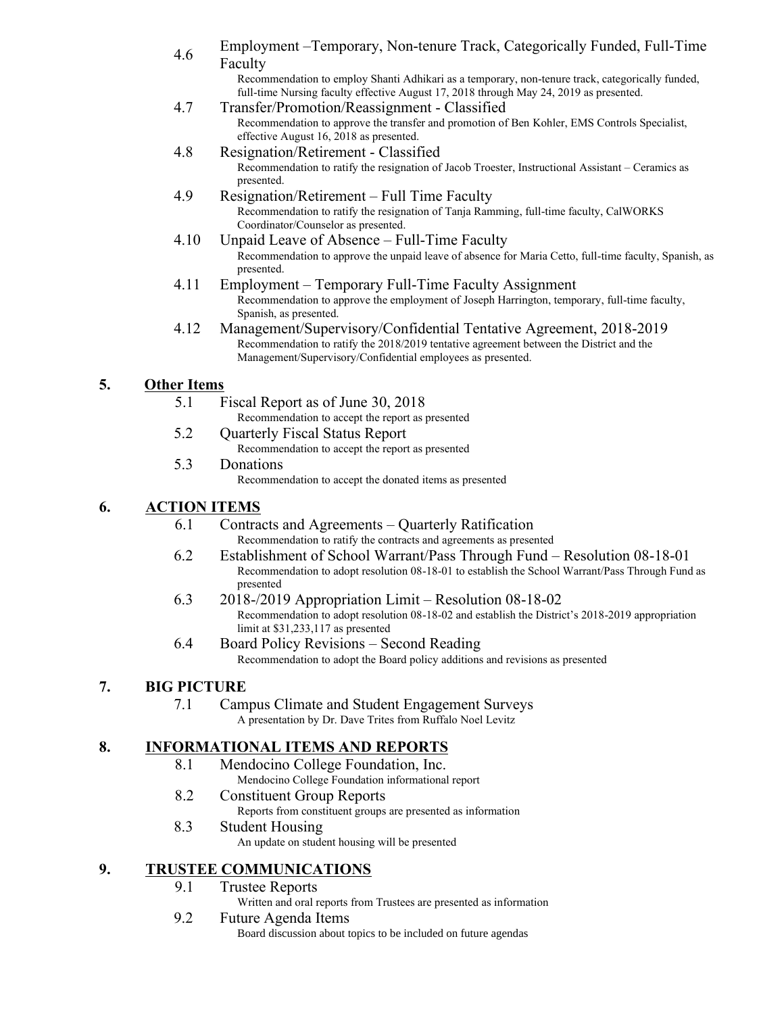4.6 Employment – Temporary, Non-tenure Track, Categorically Funded, Full-Time Faculty

Recommendation to employ Shanti Adhikari as a temporary, non-tenure track, categorically funded, full-time Nursing faculty effective August 17, 2018 through May 24, 2019 as presented.

- 4.7 Transfer/Promotion/Reassignment Classified Recommendation to approve the transfer and promotion of Ben Kohler, EMS Controls Specialist, effective August 16, 2018 as presented.
- 4.8 Resignation/Retirement Classified Recommendation to ratify the resignation of Jacob Troester, Instructional Assistant – Ceramics as presented.
- 4.9 Resignation/Retirement Full Time Faculty Recommendation to ratify the resignation of Tanja Ramming, full-time faculty, CalWORKS Coordinator/Counselor as presented.
- 4.10 Unpaid Leave of Absence Full-Time Faculty Recommendation to approve the unpaid leave of absence for Maria Cetto, full-time faculty, Spanish, as presented.
- 4.11 Employment Temporary Full-Time Faculty Assignment Recommendation to approve the employment of Joseph Harrington, temporary, full-time faculty, Spanish, as presented.
- 4.12 Management/Supervisory/Confidential Tentative Agreement, 2018-2019 Recommendation to ratify the 2018/2019 tentative agreement between the District and the Management/Supervisory/Confidential employees as presented.

# **5. Other Items**

- 5.1 Fiscal Report as of June 30, 2018
	- Recommendation to accept the report as presented
- 5.2 Quarterly Fiscal Status Report Recommendation to accept the report as presented
- 5.3 Donations Recommendation to accept the donated items as presented

# **6. ACTION ITEMS**

- 6.1 Contracts and Agreements Quarterly Ratification Recommendation to ratify the contracts and agreements as presented
- 6.2 Establishment of School Warrant/Pass Through Fund Resolution 08-18-01 Recommendation to adopt resolution 08-18-01 to establish the School Warrant/Pass Through Fund as presented
- 6.3 2018-/2019 Appropriation Limit Resolution 08-18-02 Recommendation to adopt resolution 08-18-02 and establish the District's 2018-2019 appropriation limit at \$31,233,117 as presented
- 6.4 Board Policy Revisions Second Reading Recommendation to adopt the Board policy additions and revisions as presented

## **7. BIG PICTURE**

7.1 Campus Climate and Student Engagement Surveys A presentation by Dr. Dave Trites from Ruffalo Noel Levitz

## **8. INFORMATIONAL ITEMS AND REPORTS**

- 8.1 Mendocino College Foundation, Inc.
	- Mendocino College Foundation informational report
- 8.2 Constituent Group Reports
	- Reports from constituent groups are presented as information
- 8.3 Student Housing An update on student housing will be presented

# **9. TRUSTEE COMMUNICATIONS**

- 9.1 Trustee Reports
	- Written and oral reports from Trustees are presented as information

## 9.2 Future Agenda Items

Board discussion about topics to be included on future agendas